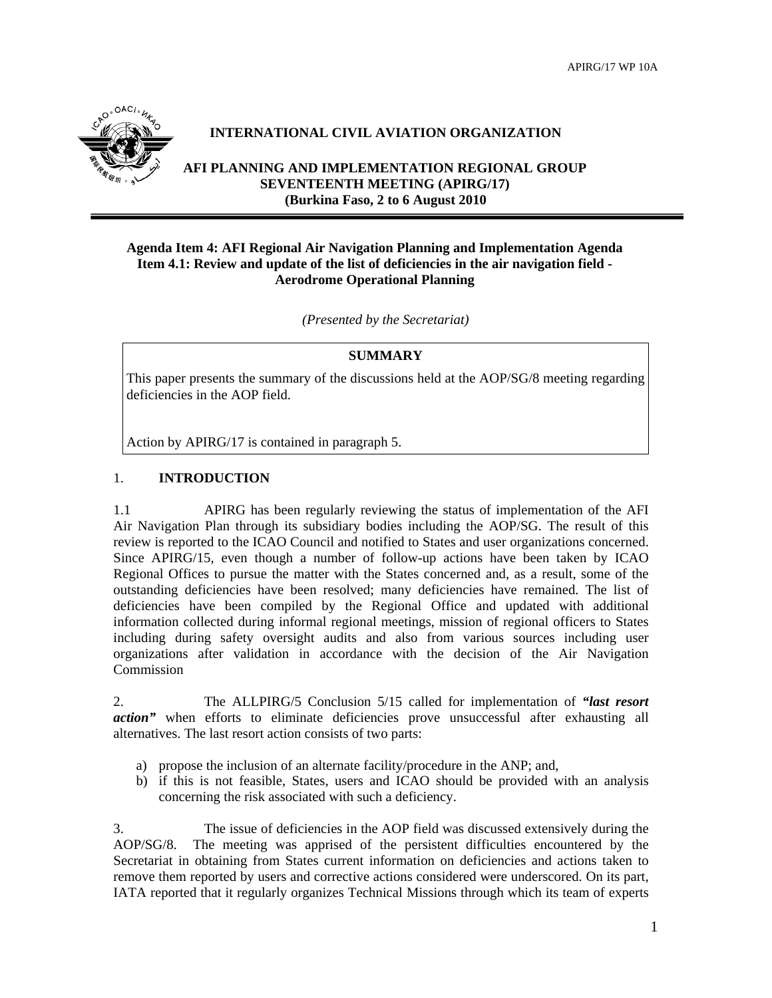

# **INTERNATIONAL CIVIL AVIATION ORGANIZATION**

**AFI PLANNING AND IMPLEMENTATION REGIONAL GROUP SEVENTEENTH MEETING (APIRG/17) (Burkina Faso, 2 to 6 August 2010**

## **Agenda Item 4: AFI Regional Air Navigation Planning and Implementation Agenda Item 4.1: Review and update of the list of deficiencies in the air navigation field - Aerodrome Operational Planning**

*(Presented by the Secretariat)*

### **SUMMARY**

This paper presents the summary of the discussions held at the AOP/SG/8 meeting regarding deficiencies in the AOP field.

Action by APIRG/17 is contained in paragraph 5.

### 1. **INTRODUCTION**

1.1 APIRG has been regularly reviewing the status of implementation of the AFI Air Navigation Plan through its subsidiary bodies including the AOP/SG. The result of this review is reported to the ICAO Council and notified to States and user organizations concerned. Since APIRG/15, even though a number of follow-up actions have been taken by ICAO Regional Offices to pursue the matter with the States concerned and, as a result, some of the outstanding deficiencies have been resolved; many deficiencies have remained. The list of deficiencies have been compiled by the Regional Office and updated with additional information collected during informal regional meetings, mission of regional officers to States including during safety oversight audits and also from various sources including user organizations after validation in accordance with the decision of the Air Navigation Commission

2. The ALLPIRG/5 Conclusion 5/15 called for implementation of *"last resort action*" when efforts to eliminate deficiencies prove unsuccessful after exhausting all alternatives. The last resort action consists of two parts:

- a) propose the inclusion of an alternate facility/procedure in the ANP; and,
- b) if this is not feasible, States, users and ICAO should be provided with an analysis concerning the risk associated with such a deficiency.

3. The issue of deficiencies in the AOP field was discussed extensively during the AOP/SG/8. The meeting was apprised of the persistent difficulties encountered by the Secretariat in obtaining from States current information on deficiencies and actions taken to remove them reported by users and corrective actions considered were underscored. On its part, IATA reported that it regularly organizes Technical Missions through which its team of experts